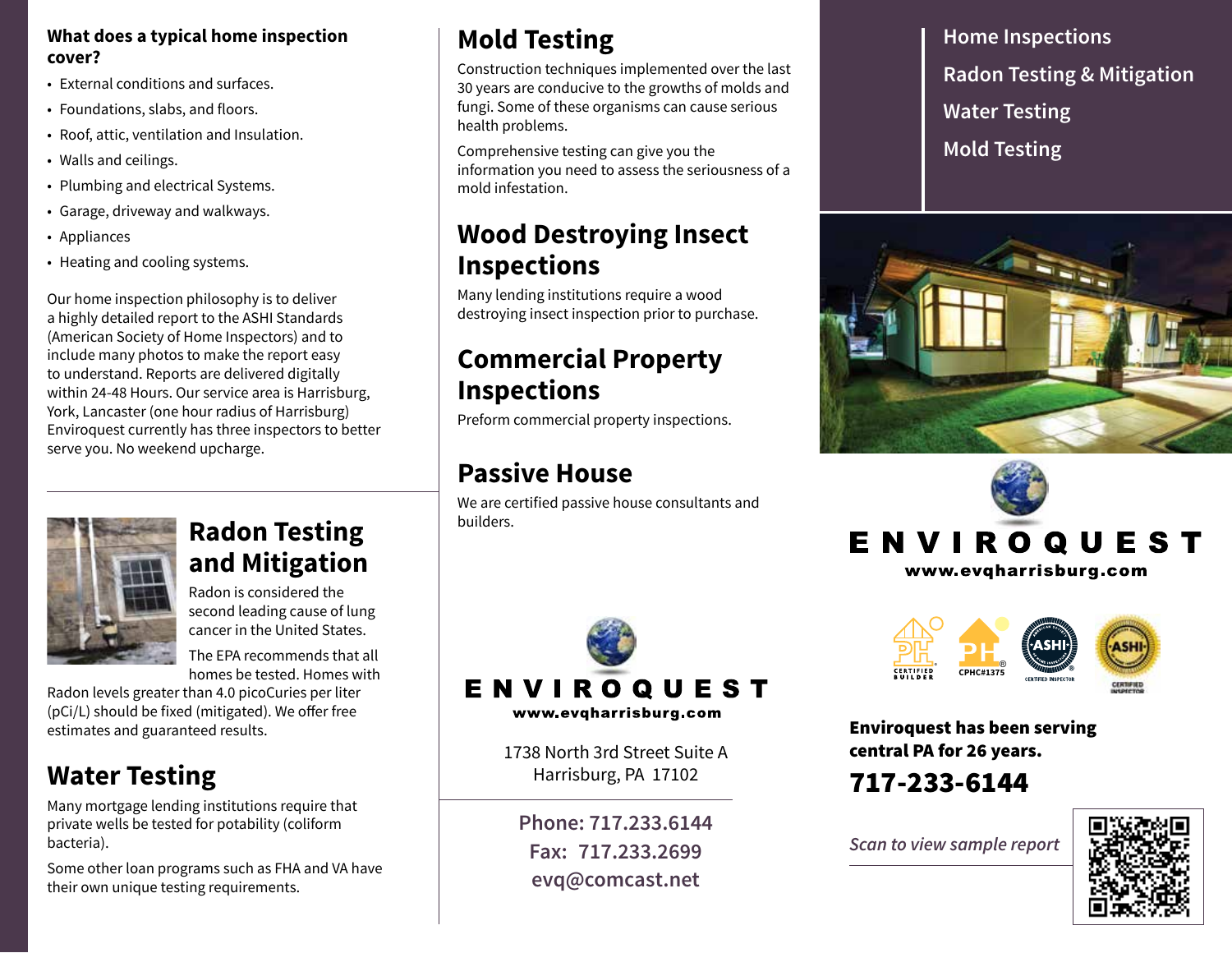### **What does a typical home inspection cover?**

- External conditions and surfaces.
- Foundations, slabs, and floors.
- Roof, attic, ventilation and Insulation.
- Walls and ceilings.
- Plumbing and electrical Systems.
- Garage, driveway and walkways.
- Appliances
- Heating and cooling systems.

Our home inspection philosophy is to deliver a highly detailed report to the ASHI Standards (American Society of Home Inspectors) and to include many photos to make the report easy to understand. Reports are delivered digitally within 24-48 Hours. Our service area is Harrisburg, York, Lancaster (one hour radius of Harrisburg) Enviroquest currently has three inspectors to better serve you. No weekend upcharge.

# **Mold Testing**

Construction techniques implemented over the last 30 years are conducive to the growths of molds and fungi. Some of these organisms can cause serious health problems.

Comprehensive testing can give you the information you need to assess the seriousness of a mold infestation.

### **Wood Destroying Insect Inspections**

Many lending institutions require a wood destroying insect inspection prior to purchase.

## **Commercial Property**<br>Inspections **Inspections**

**PREFORM CONTINUES**<br>Preform commercial property inspections.

## **Passive House**

We are certified passive house consultants and builders.



www.evqharrisburg.com

1738 North 3rd Street Suite A Harrisburg, PA 17102

**Phone: 717.233.6144 Fax: 717.233.2699 evq@comcast.net**

**Home Inspections Radon Testing & Mitigation Water Testing Mold Testing**







Enviroquest has been serving central PA for 26 years. ® ®

### 717-233-6144

*Scan to view sample report*





### **Radon Testing and Mitigation**

Radon is considered the second leading cause of lung cancer in the United States.

The EPA recommends that all homes be tested. Homes with

Radon levels greater than 4.0 picoCuries per liter (pCi/L) should be fixed (mitigated). We offer free estimates and guaranteed results.

# **Water Testing**

Many mortgage lending institutions require that private wells be tested for potability (coliform bacteria).

Some other loan programs such as FHA and VA have their own unique testing requirements.